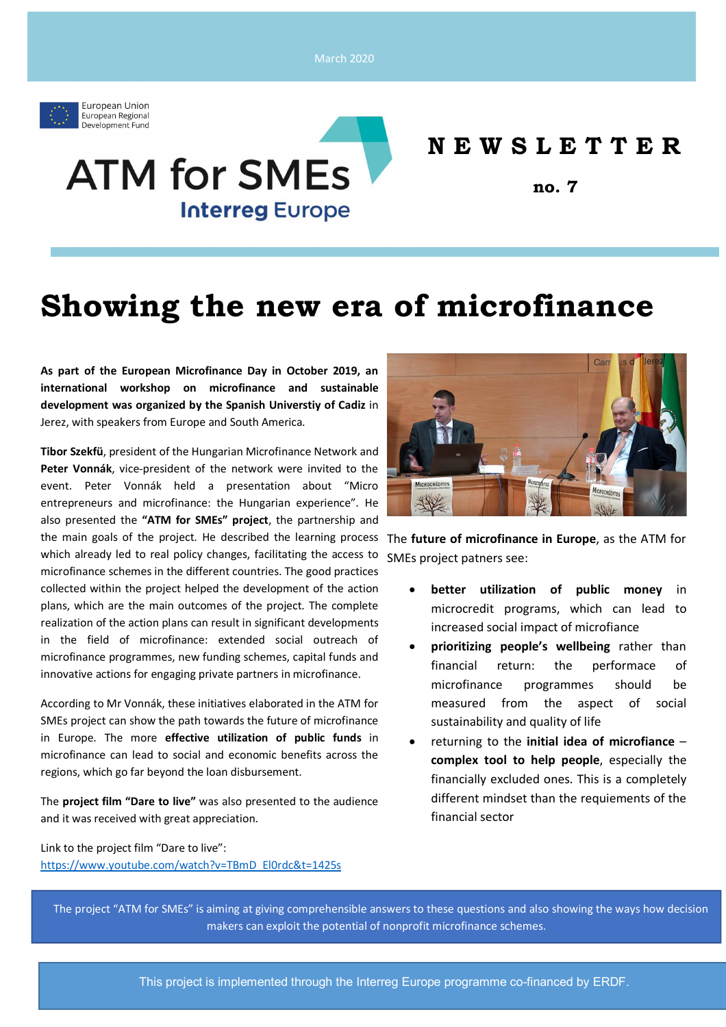March 2020



## **N E W S L E T T E R**

**no. 7**

# **Showing the new era of microfinance**

**As part of the European Microfinance Day in October 2019, an international workshop on microfinance and sustainable development was organized by the Spanish Universtiy of Cadiz** in Jerez, with speakers from Europe and South America.

**ATM for SMEs** 

**Interreg Europe** 

**Tibor Szekfü**, president of the Hungarian Microfinance Network and **Peter Vonnák**, vice-president of the network were invited to the event. Peter Vonnák held a presentation about "Micro entrepreneurs and microfinance: the Hungarian experience". He also presented the **"ATM for SMEs" project**, the partnership and the main goals of the project. He described the learning process The **future of microfinance in Europe**, as the ATM for which already led to real policy changes, facilitating the access to microfinance schemes in the different countries. The good practices collected within the project helped the development of the action plans, which are the main outcomes of the project. The complete realization of the action plans can result in significant developments in the field of microfinance: extended social outreach of microfinance programmes, new funding schemes, capital funds and innovative actions for engaging private partners in microfinance.

According to Mr Vonnák, these initiatives elaborated in the ATM for SMEs project can show the path towards the future of microfinance in Europe. The more **effective utilization of public funds** in microfinance can lead to social and economic benefits across the regions, which go far beyond the loan disbursement.

The **project film "Dare to live"** was also presented to the audience and it was received with great appreciation.

Link to the project film "Dare to live": https://www.youtube.com/watch?v=TBmD\_El0rdc&t=1425s



SMEs project patners see:

- **better utilization of public money** in microcredit programs, which can lead to increased social impact of microfiance
- **prioritizing people's wellbeing** rather than financial return: the performace of microfinance programmes should be measured from the aspect of social sustainability and quality of life
- returning to the **initial idea of microfiance complex tool to help people**, especially the financially excluded ones. This is a completely different mindset than the requiements of the financial sector

The project "ATM for SMEs" is aiming at giving comprehensible answers to these questions and also showing the ways how decision makers can exploit the potential of nonprofit microfinance schemes.

This project is implemented through the Interreg Europe programme co-financed by ERDF.